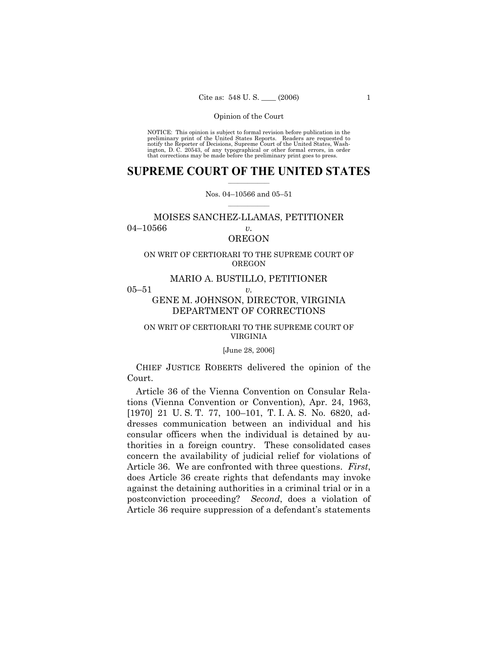NOTICE: This opinion is subject to formal revision before publication in the preliminary print of the United States Reports. Readers are requested to notify the Reporter of Decisions, Supreme Court of the United States, Washington, D. C. 20543, of any typographical or other formal errors, in order that corrections may be made before the preliminary print goes to press.

# **SUPREME COURT OF THE UNITED STATES**  $\frac{1}{2}$  ,  $\frac{1}{2}$  ,  $\frac{1}{2}$  ,  $\frac{1}{2}$  ,  $\frac{1}{2}$  ,  $\frac{1}{2}$  ,  $\frac{1}{2}$

Nos. 04-10566 and 05-51  $\mathcal{L}=\mathcal{L}$ 

# MOISES SANCHEZ-LLAMAS, PETITIONER 04<sup> $-10566$ </sup> *v.*

# OREGON

# ON WRIT OF CERTIORARI TO THE SUPREME COURT OF **OREGON**

# MARIO A. BUSTILLO, PETITIONER

 $05-51$  *v.* 

# GENE M. JOHNSON, DIRECTOR, VIRGINIA DEPARTMENT OF CORRECTIONS

# ON WRIT OF CERTIORARI TO THE SUPREME COURT OF VIRGINIA

# [June 28, 2006]

 CHIEF JUSTICE ROBERTS delivered the opinion of the Court.

 Article 36 of the Vienna Convention on Consular Relations (Vienna Convention or Convention), Apr. 24, 1963, [1970] 21 U.S.T. 77, 100–101, T.I.A.S. No. 6820, addresses communication between an individual and his consular officers when the individual is detained by authorities in a foreign country. These consolidated cases concern the availability of judicial relief for violations of Article 36. We are confronted with three questions. *First*, does Article 36 create rights that defendants may invoke against the detaining authorities in a criminal trial or in a postconviction proceeding? *Second*, does a violation of Article 36 require suppression of a defendant's statements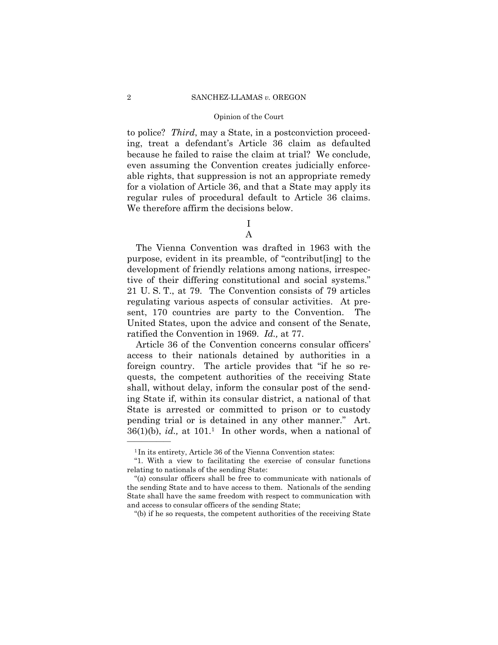# 2 SANCHEZ-LLAMAS *v.* OREGON

# Opinion of the Court

to police? *Third*, may a State, in a postconviction proceeding, treat a defendant's Article 36 claim as defaulted because he failed to raise the claim at trial? We conclude, even assuming the Convention creates judicially enforceable rights, that suppression is not an appropriate remedy for a violation of Article 36, and that a State may apply its regular rules of procedural default to Article 36 claims. We therefore affirm the decisions below.

# I A

# The Vienna Convention was drafted in 1963 with the purpose, evident in its preamble, of "contribut[ing] to the development of friendly relations among nations, irrespective of their differing constitutional and social systems." 21 U. S. T., at 79. The Convention consists of 79 articles regulating various aspects of consular activities. At present, 170 countries are party to the Convention. The United States, upon the advice and consent of the Senate, ratified the Convention in 1969. *Id.,* at 77.

Article 36 of the Convention concerns consular officers' access to their nationals detained by authorities in a foreign country. The article provides that "if he so requests, the competent authorities of the receiving State shall, without delay, inform the consular post of the sending State if, within its consular district, a national of that State is arrested or committed to prison or to custody pending trial or is detained in any other manner." Art.  $36(1)(b)$ , *id.*, at  $101<sup>1</sup>$  In other words, when a national of

óóóóóó

ì(b) if he so requests, the competent authorities of the receiving State

<sup>&</sup>lt;sup>1</sup>In its entirety, Article 36 of the Vienna Convention states:

ì1. With a view to facilitating the exercise of consular functions relating to nationals of the sending State:

ì(a) consular officers shall be free to communicate with nationals of the sending State and to have access to them. Nationals of the sending State shall have the same freedom with respect to communication with and access to consular officers of the sending State;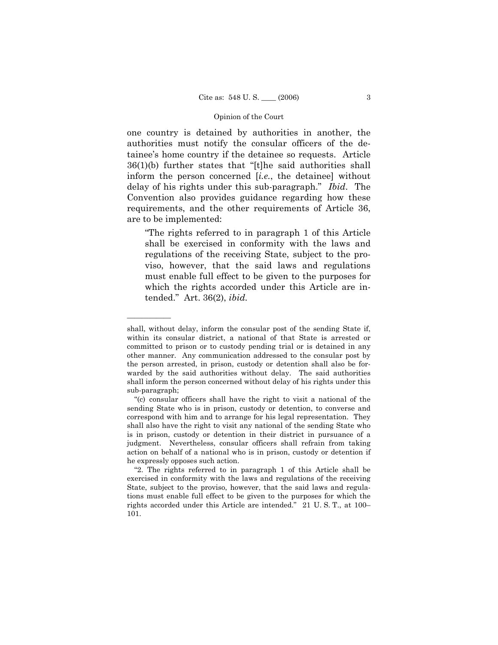one country is detained by authorities in another, the authorities must notify the consular officers of the detaineeís home country if the detainee so requests. Article  $36(1)(b)$  further states that "[t]he said authorities shall inform the person concerned [*i.e.*, the detainee] without delay of his rights under this sub-paragraph." *Ibid*. The Convention also provides guidance regarding how these requirements, and the other requirements of Article 36, are to be implemented:

ìThe rights referred to in paragraph 1 of this Article shall be exercised in conformity with the laws and regulations of the receiving State, subject to the proviso, however, that the said laws and regulations must enable full effect to be given to the purposes for which the rights accorded under this Article are intended.î Art. 36(2), *ibid.*

óóóóóó

shall, without delay, inform the consular post of the sending State if, within its consular district, a national of that State is arrested or committed to prison or to custody pending trial or is detained in any other manner. Any communication addressed to the consular post by the person arrested, in prison, custody or detention shall also be forwarded by the said authorities without delay. The said authorities shall inform the person concerned without delay of his rights under this sub-paragraph;

ì(c) consular officers shall have the right to visit a national of the sending State who is in prison, custody or detention, to converse and correspond with him and to arrange for his legal representation. They shall also have the right to visit any national of the sending State who is in prison, custody or detention in their district in pursuance of a judgment. Nevertheless, consular officers shall refrain from taking action on behalf of a national who is in prison, custody or detention if he expressly opposes such action.

ì2. The rights referred to in paragraph 1 of this Article shall be exercised in conformity with the laws and regulations of the receiving State, subject to the proviso, however, that the said laws and regulations must enable full effect to be given to the purposes for which the rights accorded under this Article are intended." 21 U.S.T., at 100– 101.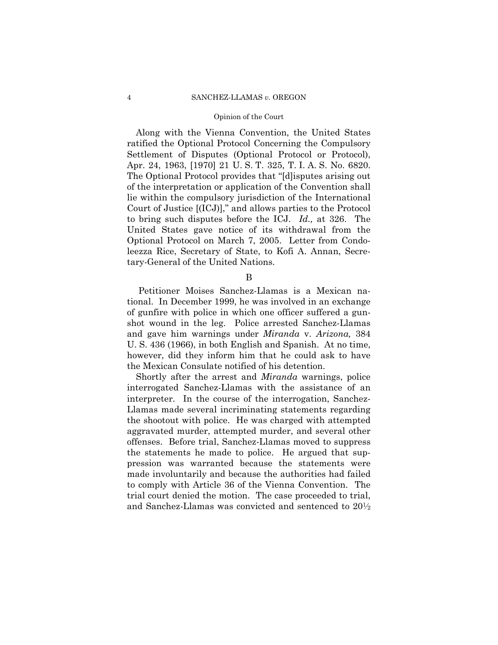Along with the Vienna Convention, the United States ratified the Optional Protocol Concerning the Compulsory Settlement of Disputes (Optional Protocol or Protocol), Apr. 24, 1963, [1970] 21 U. S. T. 325, T. I. A. S. No. 6820. The Optional Protocol provides that "[d]isputes arising out of the interpretation or application of the Convention shall lie within the compulsory jurisdiction of the International Court of Justice [(ICJ)]," and allows parties to the Protocol to bring such disputes before the ICJ. *Id.,* at 326. The United States gave notice of its withdrawal from the Optional Protocol on March 7, 2005. Letter from Condoleezza Rice, Secretary of State, to Kofi A. Annan, Secretary-General of the United Nations.

B

 Petitioner Moises Sanchez-Llamas is a Mexican national. In December 1999, he was involved in an exchange of gunfire with police in which one officer suffered a gunshot wound in the leg. Police arrested Sanchez-Llamas and gave him warnings under *Miranda* v. *Arizona,* 384 U. S. 436 (1966), in both English and Spanish. At no time, however, did they inform him that he could ask to have the Mexican Consulate notified of his detention.

 Shortly after the arrest and *Miranda* warnings, police interrogated Sanchez-Llamas with the assistance of an interpreter. In the course of the interrogation, Sanchez-Llamas made several incriminating statements regarding the shootout with police. He was charged with attempted aggravated murder, attempted murder, and several other offenses. Before trial, Sanchez-Llamas moved to suppress the statements he made to police. He argued that suppression was warranted because the statements were made involuntarily and because the authorities had failed to comply with Article 36 of the Vienna Convention. The trial court denied the motion. The case proceeded to trial, and Sanchez-Llamas was convicted and sentenced to 201⁄2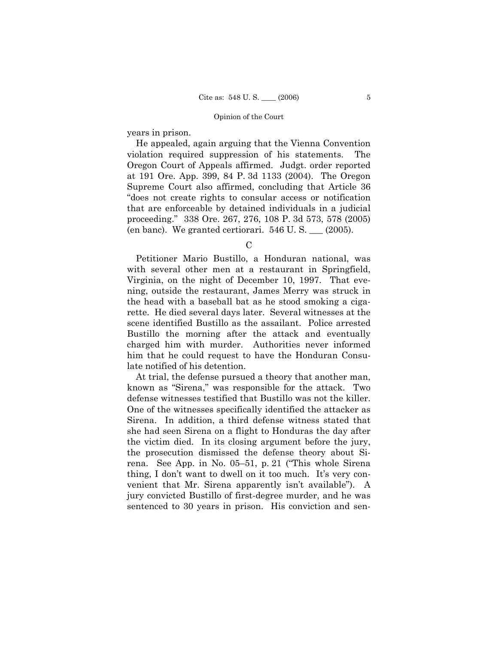years in prison.

 He appealed, again arguing that the Vienna Convention violation required suppression of his statements. The Oregon Court of Appeals affirmed. Judgt. order reported at 191 Ore. App. 399, 84 P. 3d 1133 (2004). The Oregon Supreme Court also affirmed, concluding that Article 36 ìdoes not create rights to consular access or notification that are enforceable by detained individuals in a judicial proceeding.î 338 Ore. 267, 276, 108 P. 3d 573, 578 (2005) (en banc). We granted certiorari.  $546$  U.S.  $\_\_$  (2005).

C

 Petitioner Mario Bustillo, a Honduran national, was with several other men at a restaurant in Springfield, Virginia, on the night of December 10, 1997. That evening, outside the restaurant, James Merry was struck in the head with a baseball bat as he stood smoking a cigarette. He died several days later. Several witnesses at the scene identified Bustillo as the assailant. Police arrested Bustillo the morning after the attack and eventually charged him with murder. Authorities never informed him that he could request to have the Honduran Consulate notified of his detention.

 At trial, the defense pursued a theory that another man, known as "Sirena," was responsible for the attack. Two defense witnesses testified that Bustillo was not the killer. One of the witnesses specifically identified the attacker as Sirena. In addition, a third defense witness stated that she had seen Sirena on a flight to Honduras the day after the victim died. In its closing argument before the jury, the prosecution dismissed the defense theory about Sirena. See App. in No.  $05-51$ , p. 21 ("This whole Sirena") thing, I don't want to dwell on it too much. It's very convenient that Mr. Sirena apparently isn't available"). A jury convicted Bustillo of first-degree murder, and he was sentenced to 30 years in prison. His conviction and sen-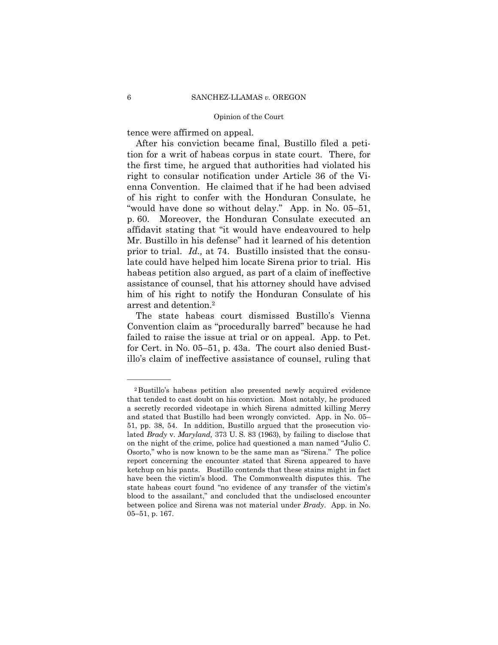tence were affirmed on appeal.

 After his conviction became final, Bustillo filed a petition for a writ of habeas corpus in state court. There, for the first time, he argued that authorities had violated his right to consular notification under Article 36 of the Vienna Convention. He claimed that if he had been advised of his right to confer with the Honduran Consulate, he "would have done so without delay." App. in No.  $05-51$ , p. 60. Moreover, the Honduran Consulate executed an affidavit stating that "it would have endeavoured to help Mr. Bustillo in his defense" had it learned of his detention prior to trial. *Id.,* at 74. Bustillo insisted that the consulate could have helped him locate Sirena prior to trial. His habeas petition also argued, as part of a claim of ineffective assistance of counsel, that his attorney should have advised him of his right to notify the Honduran Consulate of his arrest and detention.2

 The state habeas court dismissed Bustilloís Vienna Convention claim as "procedurally barred" because he had failed to raise the issue at trial or on appeal. App. to Pet. for Cert. in No.  $05-51$ , p. 43a. The court also denied Bustilloís claim of ineffective assistance of counsel, ruling that

óóóóóó

<sup>2</sup>Bustilloís habeas petition also presented newly acquired evidence that tended to cast doubt on his conviction. Most notably, he produced a secretly recorded videotape in which Sirena admitted killing Merry and stated that Bustillo had been wrongly convicted. App. in No.  $05-$ 51, pp. 38, 54. In addition, Bustillo argued that the prosecution violated *Brady* v. *Maryland,* 373 U. S. 83 (1963), by failing to disclose that on the night of the crime, police had questioned a man named "Julio C. Osorto," who is now known to be the same man as "Sirena." The police report concerning the encounter stated that Sirena appeared to have ketchup on his pants. Bustillo contends that these stains might in fact have been the victimís blood. The Commonwealth disputes this. The state habeas court found "no evidence of any transfer of the victim's blood to the assailant," and concluded that the undisclosed encounter between police and Sirena was not material under *Brady*. App. in No.  $05-51$ , p. 167.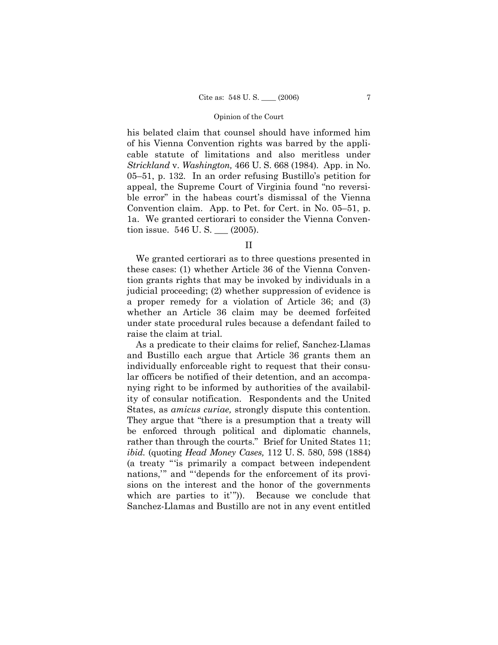his belated claim that counsel should have informed him of his Vienna Convention rights was barred by the applicable statute of limitations and also meritless under *Strickland* v. *Washington,* 466 U. S. 668 (1984). App. in No. 05–51, p. 132. In an order refusing Bustillo's petition for appeal, the Supreme Court of Virginia found "no reversible error" in the habeas court's dismissal of the Vienna Convention claim. App. to Pet. for Cert. in No.  $05-51$ , p. 1a. We granted certiorari to consider the Vienna Convention issue. 546 U. S. \_\_\_ (2005).

 We granted certiorari as to three questions presented in these cases: (1) whether Article 36 of the Vienna Convention grants rights that may be invoked by individuals in a judicial proceeding; (2) whether suppression of evidence is a proper remedy for a violation of Article 36; and (3) whether an Article 36 claim may be deemed forfeited under state procedural rules because a defendant failed to raise the claim at trial.

 As a predicate to their claims for relief, Sanchez-Llamas and Bustillo each argue that Article 36 grants them an individually enforceable right to request that their consular officers be notified of their detention, and an accompanying right to be informed by authorities of the availability of consular notification. Respondents and the United States, as *amicus curiae,* strongly dispute this contention. They argue that "there is a presumption that a treaty will be enforced through political and diplomatic channels, rather than through the courts." Brief for United States 11; *ibid.* (quoting *Head Money Cases,* 112 U. S. 580, 598 (1884) (a treaty "is primarily a compact between independent nations," and "depends for the enforcement of its provisions on the interest and the honor of the governments which are parties to it"). Because we conclude that Sanchez-Llamas and Bustillo are not in any event entitled

II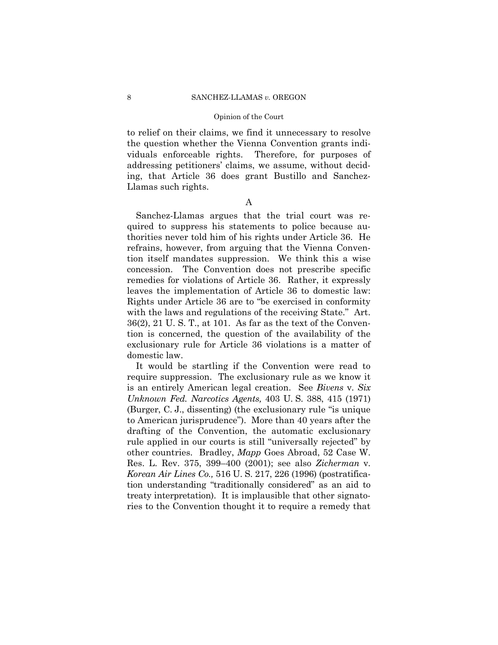to relief on their claims, we find it unnecessary to resolve the question whether the Vienna Convention grants individuals enforceable rights. Therefore, for purposes of addressing petitioners' claims, we assume, without deciding, that Article 36 does grant Bustillo and Sanchez-Llamas such rights.

A

 Sanchez-Llamas argues that the trial court was required to suppress his statements to police because authorities never told him of his rights under Article 36. He refrains, however, from arguing that the Vienna Convention itself mandates suppression. We think this a wise concession. The Convention does not prescribe specific remedies for violations of Article 36. Rather, it expressly leaves the implementation of Article 36 to domestic law: Rights under Article 36 are to "be exercised in conformity" with the laws and regulations of the receiving State." Art. 36(2), 21 U. S. T., at 101. As far as the text of the Convention is concerned, the question of the availability of the exclusionary rule for Article 36 violations is a matter of domestic law.

 It would be startling if the Convention were read to require suppression. The exclusionary rule as we know it is an entirely American legal creation. See *Bivens* v. *Six Unknown Fed. Narcotics Agents,* 403 U. S. 388, 415 (1971)  $(Burger, C. J., dissenting)$  (the exclusionary rule "is unique to American jurisprudenceî). More than 40 years after the drafting of the Convention, the automatic exclusionary rule applied in our courts is still "universally rejected" by other countries. Bradley, *Mapp* Goes Abroad, 52 Case W. Res. L. Rev. 375, 399–400 (2001); see also *Zicherman* v. *Korean Air Lines Co.,* 516 U. S. 217, 226 (1996) (postratification understanding "traditionally considered" as an aid to treaty interpretation). It is implausible that other signatories to the Convention thought it to require a remedy that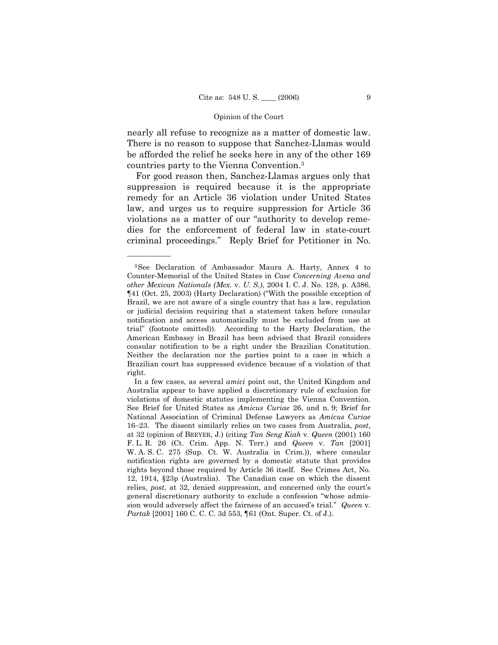nearly all refuse to recognize as a matter of domestic law. There is no reason to suppose that Sanchez-Llamas would be afforded the relief he seeks here in any of the other 169 countries party to the Vienna Convention.3

 For good reason then, Sanchez-Llamas argues only that suppression is required because it is the appropriate remedy for an Article 36 violation under United States law, and urges us to require suppression for Article 36 violations as a matter of our "authority to develop remedies for the enforcement of federal law in state-court criminal proceedings.î Reply Brief for Petitioner in No.

óóóóóó

<sup>3</sup>See Declaration of Ambassador Maura A. Harty, Annex 4 to Counter-Memorial of the United States in *Case Concerning Avena and other Mexican Nationals (Mex.* v. *U. S.)*, 2004 I. C. J. No. 128, p. A386,  $\P$ 41 (Oct. 25, 2003) (Harty Declaration) ("With the possible exception of Brazil, we are not aware of a single country that has a law, regulation or judicial decision requiring that a statement taken before consular notification and access automatically must be excluded from use at trialî (footnote omitted)). According to the Harty Declaration, the American Embassy in Brazil has been advised that Brazil considers consular notification to be a right under the Brazilian Constitution. Neither the declaration nor the parties point to a case in which a Brazilian court has suppressed evidence because of a violation of that right.

In a few cases, as several *amici* point out, the United Kingdom and Australia appear to have applied a discretionary rule of exclusion for violations of domestic statutes implementing the Vienna Convention. See Brief for United States as *Amicus Curiae* 26, and n. 9; Brief for National Association of Criminal Defense Lawyers as *Amicus Curiae*  16<sup> $-23$ </sup>. The dissent similarly relies on two cases from Australia, *post*, at 32 (opinion of BREYER, J.) (citing *Tan Seng Kiah* v. *Queen* (2001) 160 F. L. R. 26 (Ct. Crim. App. N. Terr.) and *Queen* v. *Tan* [2001] W. A. S. C. 275 (Sup. Ct. W. Australia in Crim.)), where consular notification rights are governed by a domestic statute that provides rights beyond those required by Article 36 itself. See Crimes Act, No. 12, 1914, ß23p (Australia). The Canadian case on which the dissent relies, *post*, at 32, denied suppression, and concerned only the court's general discretionary authority to exclude a confession "whose admission would adversely affect the fairness of an accused's trial." *Queen v*. *Partak* [2001] 160 C. C. C. 3d 553, ¶61 (Ont. Super. Ct. of J.).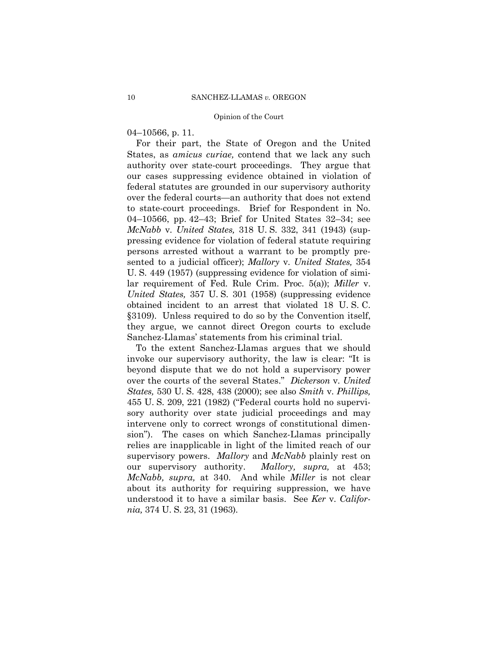$04-10566$ , p. 11.

 For their part, the State of Oregon and the United States, as *amicus curiae,* contend that we lack any such authority over state-court proceedings. They argue that our cases suppressing evidence obtained in violation of federal statutes are grounded in our supervisory authority over the federal courts—an authority that does not extend to state-court proceedings. Brief for Respondent in No. 04–10566, pp. 42–43; Brief for United States 32–34; see *McNabb* v. *United States,* 318 U. S. 332, 341 (1943) (suppressing evidence for violation of federal statute requiring persons arrested without a warrant to be promptly presented to a judicial officer); *Mallory* v. *United States,* 354 U. S. 449 (1957) (suppressing evidence for violation of similar requirement of Fed. Rule Crim. Proc. 5(a)); *Miller* v. *United States,* 357 U. S. 301 (1958) (suppressing evidence obtained incident to an arrest that violated 18 U. S. C. ß3109). Unless required to do so by the Convention itself, they argue, we cannot direct Oregon courts to exclude Sanchez-Llamasí statements from his criminal trial.

 To the extent Sanchez-Llamas argues that we should invoke our supervisory authority, the law is clear: "It is beyond dispute that we do not hold a supervisory power over the courts of the several States.î *Dickerson* v. *United States,* 530 U. S. 428, 438 (2000); see also *Smith* v. *Phillips,*  $455$  U. S.  $209$ ,  $221$  (1982) ("Federal courts hold no supervisory authority over state judicial proceedings and may intervene only to correct wrongs of constitutional dimension"). The cases on which Sanchez-Llamas principally relies are inapplicable in light of the limited reach of our supervisory powers. *Mallory* and *McNabb* plainly rest on our supervisory authority. *Mallory, supra,* at 453; *McNabb, supra,* at 340. And while *Miller* is not clear about its authority for requiring suppression, we have understood it to have a similar basis. See *Ker* v. *California,* 374 U. S. 23, 31 (1963).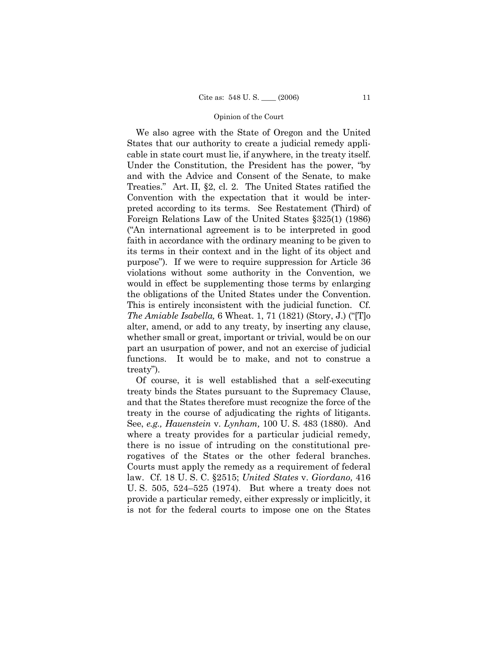We also agree with the State of Oregon and the United States that our authority to create a judicial remedy applicable in state court must lie, if anywhere, in the treaty itself. Under the Constitution, the President has the power, "by" and with the Advice and Consent of the Senate, to make Treaties." Art. II, §2, cl. 2. The United States ratified the Convention with the expectation that it would be interpreted according to its terms. See Restatement (Third) of Foreign Relations Law of the United States ß325(1) (1986) ("An international agreement is to be interpreted in good faith in accordance with the ordinary meaning to be given to its terms in their context and in the light of its object and purposeî). If we were to require suppression for Article 36 violations without some authority in the Convention, we would in effect be supplementing those terms by enlarging the obligations of the United States under the Convention. This is entirely inconsistent with the judicial function. Cf. *The Amiable Isabella,* 6 Wheat. 1, 71 (1821) (Story, J.) (" $|T|\text{o}$ alter, amend, or add to any treaty, by inserting any clause, whether small or great, important or trivial, would be on our part an usurpation of power, and not an exercise of judicial functions. It would be to make, and not to construe a treaty").

 Of course, it is well established that a self-executing treaty binds the States pursuant to the Supremacy Clause, and that the States therefore must recognize the force of the treaty in the course of adjudicating the rights of litigants. See, *e.g., Hauenstein* v. *Lynham,* 100 U. S. 483 (1880). And where a treaty provides for a particular judicial remedy, there is no issue of intruding on the constitutional prerogatives of the States or the other federal branches. Courts must apply the remedy as a requirement of federal law. Cf. 18 U. S. C. ß2515; *United States* v. *Giordano,* 416 U. S.  $505, 524-525$  (1974). But where a treaty does not provide a particular remedy, either expressly or implicitly, it is not for the federal courts to impose one on the States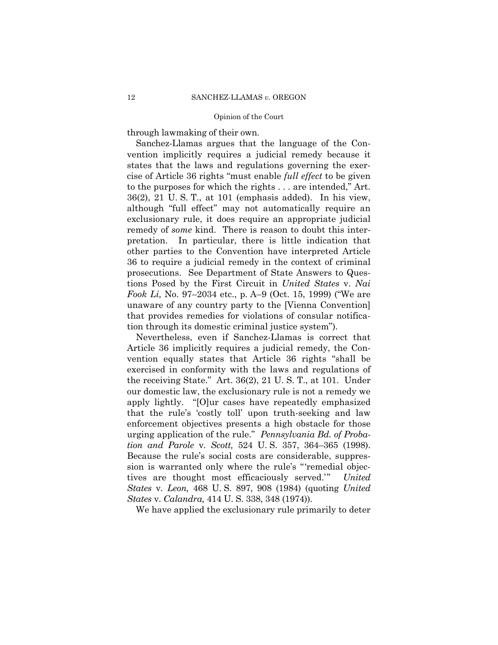through lawmaking of their own.

Sanchez-Llamas argues that the language of the Convention implicitly requires a judicial remedy because it states that the laws and regulations governing the exercise of Article 36 rights "must enable *full effect* to be given to the purposes for which the rights  $\dots$  are intended," Art.  $36(2)$ , 21 U.S.T., at 101 (emphasis added). In his view, although "full effect" may not automatically require an exclusionary rule, it does require an appropriate judicial remedy of *some* kind. There is reason to doubt this interpretation. In particular, there is little indication that other parties to the Convention have interpreted Article 36 to require a judicial remedy in the context of criminal prosecutions. See Department of State Answers to Questions Posed by the First Circuit in United States v. Nai Fook Li, No. 97–2034 etc., p. A–9 (Oct. 15, 1999) ("We are unaware of any country party to the [Vienna Convention] that provides remedies for violations of consular notification through its domestic criminal justice system").

Nevertheless, even if Sanchez-Llamas is correct that Article 36 implicitly requires a judicial remedy, the Convention equally states that Article 36 rights "shall be exercised in conformity with the laws and regulations of the receiving State." Art.  $36(2)$ , 21 U.S. T., at 101. Under our domestic law, the exclusionary rule is not a remedy we apply lightly. "[O]ur cases have repeatedly emphasized that the rule's 'costly toll' upon truth-seeking and law enforcement objectives presents a high obstacle for those urging application of the rule." Pennsylvania Bd. of Probation and Parole v. Scott, 524 U.S. 357, 364-365 (1998). Because the rule's social costs are considerable, suppression is warranted only where the rule's "remedial objectives are thought most efficaciously served." United States v. Leon, 468 U.S. 897, 908 (1984) (quoting United States v. Calandra, 414 U.S. 338, 348 (1974)).

We have applied the exclusionary rule primarily to deter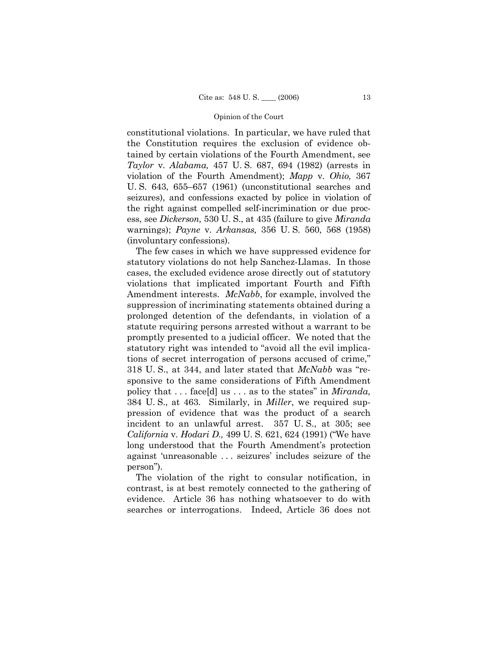constitutional violations. In particular, we have ruled that the Constitution requires the exclusion of evidence obtained by certain violations of the Fourth Amendment, see *Taylor* v. *Alabama,* 457 U. S. 687, 694 (1982) (arrests in violation of the Fourth Amendment); *Mapp* v. *Ohio,* 367 U. S.  $643$ ,  $655-657$  (1961) (unconstitutional searches and seizures), and confessions exacted by police in violation of the right against compelled self-incrimination or due process, see *Dickerson,* 530 U. S., at 435 (failure to give *Miranda* warnings); *Payne* v. *Arkansas,* 356 U. S. 560, 568 (1958) (involuntary confessions).

 The few cases in which we have suppressed evidence for statutory violations do not help Sanchez-Llamas. In those cases, the excluded evidence arose directly out of statutory violations that implicated important Fourth and Fifth Amendment interests. *McNabb*, for example, involved the suppression of incriminating statements obtained during a prolonged detention of the defendants, in violation of a statute requiring persons arrested without a warrant to be promptly presented to a judicial officer. We noted that the statutory right was intended to "avoid all the evil implications of secret interrogation of persons accused of crime,"  $318$  U.S., at  $344$ , and later stated that  $McNabb$  was "responsive to the same considerations of Fifth Amendment policy that  $\dots$  face[d] us  $\dots$  as to the states" in *Miranda*, 384 U. S., at 463. Similarly, in *Miller*, we required suppression of evidence that was the product of a search incident to an unlawful arrest. 357 U. S., at 305; see *California* v. *Hodari D.*, 499 U. S. 621, 624 (1991) ("We have long understood that the Fourth Amendment's protection against 'unreasonable ... seizures' includes seizure of the personî).

 The violation of the right to consular notification, in contrast, is at best remotely connected to the gathering of evidence. Article 36 has nothing whatsoever to do with searches or interrogations. Indeed, Article 36 does not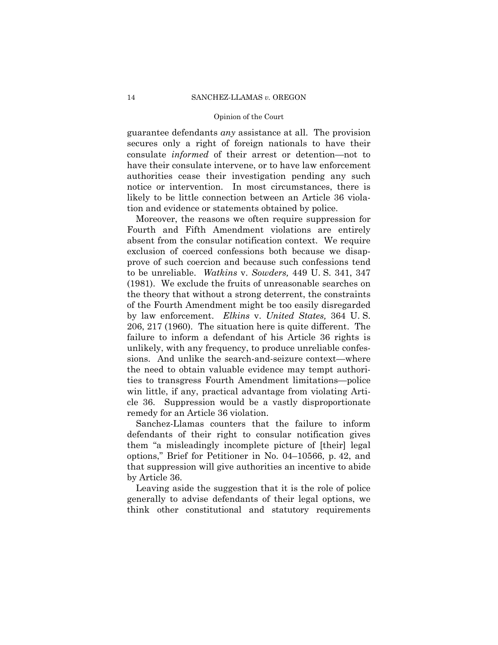guarantee defendants *any* assistance at all. The provision secures only a right of foreign nationals to have their consulate *informed* of their arrest or detention—not to have their consulate intervene, or to have law enforcement authorities cease their investigation pending any such notice or intervention. In most circumstances, there is likely to be little connection between an Article 36 violation and evidence or statements obtained by police.

 Moreover, the reasons we often require suppression for Fourth and Fifth Amendment violations are entirely absent from the consular notification context. We require exclusion of coerced confessions both because we disapprove of such coercion and because such confessions tend to be unreliable. *Watkins* v. *Sowders,* 449 U. S. 341, 347 (1981). We exclude the fruits of unreasonable searches on the theory that without a strong deterrent, the constraints of the Fourth Amendment might be too easily disregarded by law enforcement. *Elkins* v. *United States,* 364 U. S. 206, 217 (1960). The situation here is quite different. The failure to inform a defendant of his Article 36 rights is unlikely, with any frequency, to produce unreliable confessions. And unlike the search-and-seizure context—where the need to obtain valuable evidence may tempt authorities to transgress Fourth Amendment limitations—police win little, if any, practical advantage from violating Article 36. Suppression would be a vastly disproportionate remedy for an Article 36 violation.

 Sanchez-Llamas counters that the failure to inform defendants of their right to consular notification gives them "a misleadingly incomplete picture of [their] legal options," Brief for Petitioner in No. 04–10566, p. 42, and that suppression will give authorities an incentive to abide by Article 36.

 Leaving aside the suggestion that it is the role of police generally to advise defendants of their legal options, we think other constitutional and statutory requirements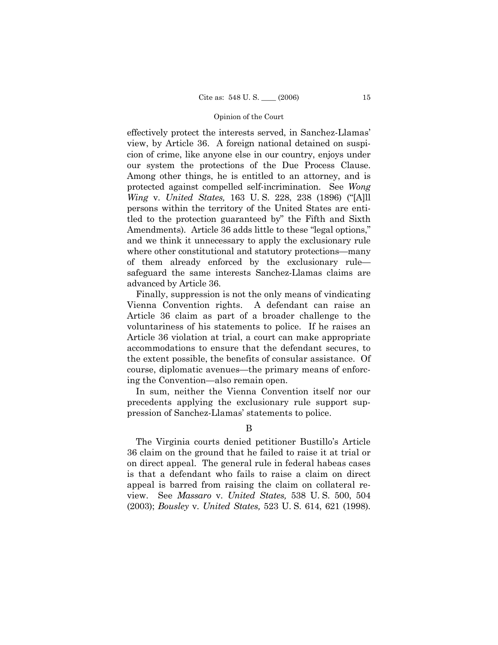effectively protect the interests served, in Sanchez-Llamasí view, by Article 36. A foreign national detained on suspicion of crime, like anyone else in our country, enjoys under our system the protections of the Due Process Clause. Among other things, he is entitled to an attorney, and is protected against compelled self-incrimination. See *Wong Wing* v. *United States*, 163 U.S. 228, 238 (1896) ("[A]ll persons within the territory of the United States are entitled to the protection guaranteed byî the Fifth and Sixth Amendments). Article 36 adds little to these "legal options," and we think it unnecessary to apply the exclusionary rule where other constitutional and statutory protections—many of them already enforced by the exclusionary rule safeguard the same interests Sanchez-Llamas claims are advanced by Article 36.

 Finally, suppression is not the only means of vindicating Vienna Convention rights. A defendant can raise an Article 36 claim as part of a broader challenge to the voluntariness of his statements to police. If he raises an Article 36 violation at trial, a court can make appropriate accommodations to ensure that the defendant secures, to the extent possible, the benefits of consular assistance. Of course, diplomatic avenues—the primary means of enforcing the Convention—also remain open.

 In sum, neither the Vienna Convention itself nor our precedents applying the exclusionary rule support suppression of Sanchez-Llamasí statements to police.

 The Virginia courts denied petitioner Bustilloís Article 36 claim on the ground that he failed to raise it at trial or on direct appeal. The general rule in federal habeas cases is that a defendant who fails to raise a claim on direct appeal is barred from raising the claim on collateral review. See *Massaro* v. *United States,* 538 U. S. 500, 504 (2003); *Bousley* v. *United States,* 523 U. S. 614, 621 (1998).

B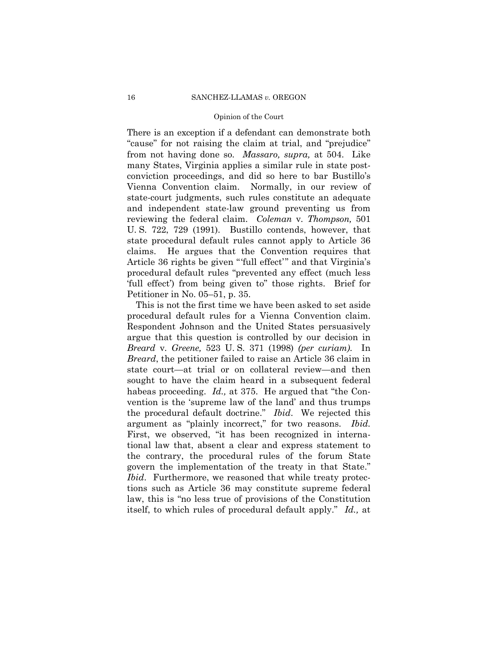There is an exception if a defendant can demonstrate both "cause" for not raising the claim at trial, and "prejudice" from not having done so. *Massaro, supra,* at 504. Like many States, Virginia applies a similar rule in state postconviction proceedings, and did so here to bar Bustilloís Vienna Convention claim. Normally, in our review of state-court judgments, such rules constitute an adequate and independent state-law ground preventing us from reviewing the federal claim. *Coleman* v. *Thompson,* 501 U. S. 722, 729 (1991). Bustillo contends, however, that state procedural default rules cannot apply to Article 36 claims. He argues that the Convention requires that Article 36 rights be given "'full effect'" and that Virginia's procedural default rules "prevented any effect (much less ëfull effectí) from being given toî those rights. Brief for Petitioner in No.  $05-51$ , p. 35.

 This is not the first time we have been asked to set aside procedural default rules for a Vienna Convention claim. Respondent Johnson and the United States persuasively argue that this question is controlled by our decision in *Breard* v. *Greene,* 523 U. S. 371 (1998) *(per curiam)*. In *Breard*, the petitioner failed to raise an Article 36 claim in state court—at trial or on collateral review—and then sought to have the claim heard in a subsequent federal habeas proceeding. *Id.*, at 375. He argued that "the Convention is the 'supreme law of the land' and thus trumps the procedural default doctrine.î *Ibid*. We rejected this argument as "plainly incorrect," for two reasons. *Ibid.* First, we observed, "it has been recognized in international law that, absent a clear and express statement to the contrary, the procedural rules of the forum State govern the implementation of the treaty in that State." *Ibid*. Furthermore, we reasoned that while treaty protections such as Article 36 may constitute supreme federal law, this is "no less true of provisions of the Constitution itself, to which rules of procedural default apply.<sup>n</sup> *Id.*, at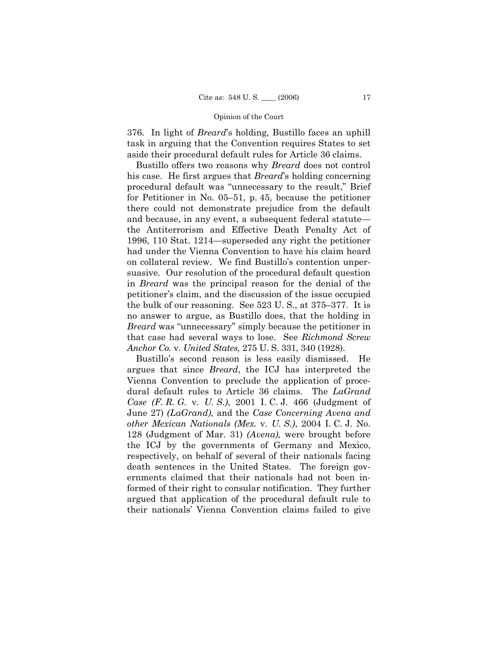376. In light of *Breard*ís holding, Bustillo faces an uphill task in arguing that the Convention requires States to set aside their procedural default rules for Article 36 claims.

 Bustillo offers two reasons why *Breard* does not control his case. He first argues that *Breard*ís holding concerning procedural default was "unnecessary to the result," Brief for Petitioner in No.  $05-51$ , p. 45, because the petitioner there could not demonstrate prejudice from the default and because, in any event, a subsequent federal statute the Antiterrorism and Effective Death Penalty Act of 1996, 110 Stat. 1214—superseded any right the petitioner had under the Vienna Convention to have his claim heard on collateral review. We find Bustilloís contention unpersuasive. Our resolution of the procedural default question in *Breard* was the principal reason for the denial of the petitioner's claim, and the discussion of the issue occupied the bulk of our reasoning. See  $523$  U.S., at  $375-377$ . It is no answer to argue, as Bustillo does, that the holding in *Breard* was "unnecessary" simply because the petitioner in that case had several ways to lose. See *Richmond Screw Anchor Co.* v. *United States,* 275 U. S. 331, 340 (1928).

 Bustilloís second reason is less easily dismissed. He argues that since *Breard*, the ICJ has interpreted the Vienna Convention to preclude the application of procedural default rules to Article 36 claims. The *LaGrand Case (F. R. G.* v. *U. S.)*, 2001 I. C. J. 466 (Judgment of June 27) *(LaGrand)*, and the *Case Concerning Avena and other Mexican Nationals (Mex.* v. *U. S.)*, 2004 I. C. J. No. 128 (Judgment of Mar. 31) *(Avena),* were brought before the ICJ by the governments of Germany and Mexico, respectively, on behalf of several of their nationals facing death sentences in the United States. The foreign governments claimed that their nationals had not been informed of their right to consular notification. They further argued that application of the procedural default rule to their nationalsí Vienna Convention claims failed to give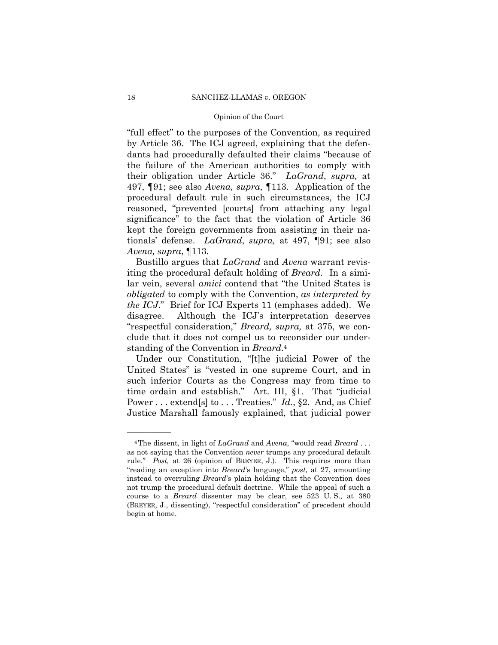"full effect" to the purposes of the Convention, as required by Article 36. The ICJ agreed, explaining that the defendants had procedurally defaulted their claims "because of the failure of the American authorities to comply with their obligation under Article 36." LaGrand, supra, at 497,  $[91]$ ; see also Avena, supra,  $[113]$ . Application of the procedural default rule in such circumstances, the ICJ reasoned, "prevented [courts] from attaching any legal significance" to the fact that the violation of Article 36 kept the foreign governments from assisting in their nationals' defense. LaGrand, supra, at 497, [91; see also Avena, supra,  $\P$ 113.

Bustillo argues that *LaGrand* and *Avena* warrant revisiting the procedural default holding of *Breard*. In a similar vein, several *amici* contend that "the United States is *obligated* to comply with the Convention, as *interpreted* by *the ICJ*." Brief for ICJ Experts 11 (emphases added). We Although the ICJ's interpretation deserves disagree. "respectful consideration," Breard, supra, at 375, we conclude that it does not compel us to reconsider our understanding of the Convention in Breard.<sup>4</sup>

Under our Constitution, "[t]he judicial Power of the United States" is "vested in one supreme Court, and in such inferior Courts as the Congress may from time to time ordain and establish." Art. III, §1. That "judicial" Power ... extend[s] to ... Treaties." Id., §2. And, as Chief Justice Marshall famously explained, that judicial power

<sup>&</sup>lt;sup>4</sup>The dissent, in light of LaGrand and Avena, "would read Breard ... as not saying that the Convention never trumps any procedural default rule." Post, at 26 (opinion of BREYER, J.). This requires more than "reading an exception into Breard's language," post, at 27, amounting instead to overruling *Breard*'s plain holding that the Convention does not trump the procedural default doctrine. While the appeal of such a course to a *Breard* dissenter may be clear, see 523 U.S., at 380 (BREYER, J., dissenting), "respectful consideration" of precedent should begin at home.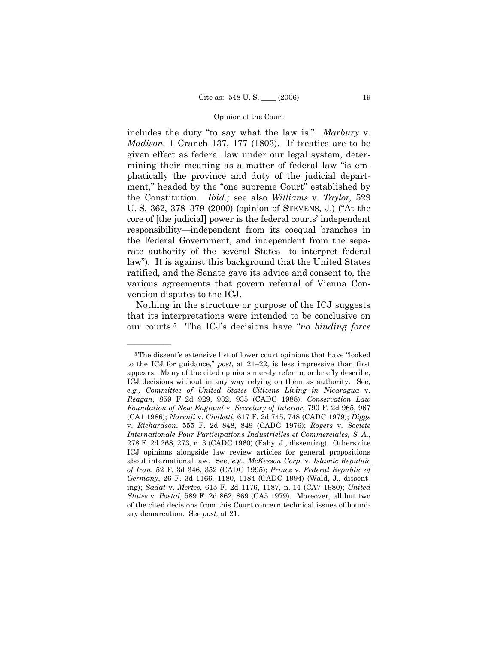includes the duty "to say what the law is." Marbury v. *Madison*, 1 Cranch 137, 177 (1803). If treaties are to be given effect as federal law under our legal system, determining their meaning as a matter of federal law "is emphatically the province and duty of the judicial department," headed by the "one supreme Court" established by the Constitution. *Ibid.*; see also *Williams v. Taylor*, 529 U.S. 362, 378–379 (2000) (opinion of STEVENS, J.) ("At the core of [the judicial] power is the federal courts' independent responsibility—independent from its coequal branches in the Federal Government, and independent from the separate authority of the several States—to interpret federal law"). It is against this background that the United States ratified, and the Senate gave its advice and consent to, the various agreements that govern referral of Vienna Convention disputes to the ICJ.

Nothing in the structure or purpose of the ICJ suggests that its interpretations were intended to be conclusive on our courts.<sup>5</sup> The ICJ's decisions have "no binding force

<sup>&</sup>lt;sup>5</sup>The dissent's extensive list of lower court opinions that have "looked" to the ICJ for guidance," post, at  $21-22$ , is less impressive than first appears. Many of the cited opinions merely refer to, or briefly describe, ICJ decisions without in any way relying on them as authority. See, e.g., Committee of United States Citizens Living in Nicaragua v. Reagan, 859 F. 2d 929, 932, 935 (CADC 1988); Conservation Law Foundation of New England v. Secretary of Interior, 790 F. 2d 965, 967 (CA1 1986); Narenji v. Civiletti, 617 F. 2d 745, 748 (CADC 1979); Diggs v. Richardson, 555 F. 2d 848, 849 (CADC 1976); Rogers v. Societe Internationale Pour Participations Industrielles et Commerciales, S. A., 278 F. 2d 268, 273, n. 3 (CADC 1960) (Fahy, J., dissenting). Others cite ICJ opinions alongside law review articles for general propositions about international law. See, e.g., McKesson Corp. v. Islamic Republic of Iran, 52 F. 3d 346, 352 (CADC 1995); Princz v. Federal Republic of Germany, 26 F. 3d 1166, 1180, 1184 (CADC 1994) (Wald, J., dissenting); Sadat v. Mertes, 615 F. 2d 1176, 1187, n. 14 (CA7 1980); United States v. Postal, 589 F. 2d 862, 869 (CA5 1979). Moreover, all but two of the cited decisions from this Court concern technical issues of boundary demarcation. See post, at 21.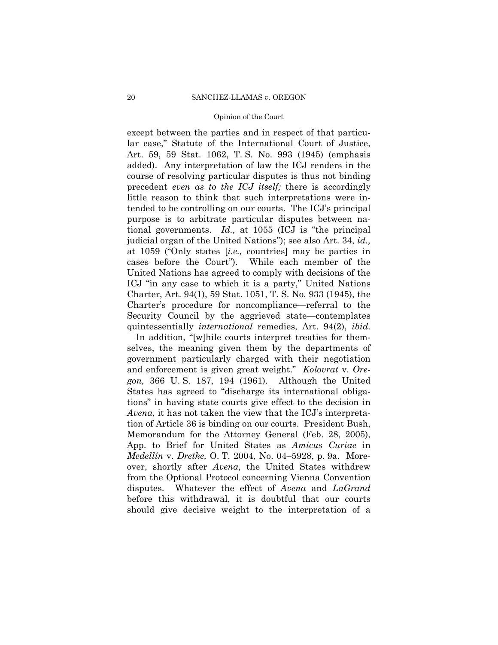except between the parties and in respect of that particular case," Statute of the International Court of Justice, Art. 59, 59 Stat. 1062, T. S. No. 993 (1945) (emphasis added). Any interpretation of law the ICJ renders in the course of resolving particular disputes is thus not binding precedent *even as to the ICJ itself;* there is accordingly little reason to think that such interpretations were intended to be controlling on our courts. The ICJ's principal purpose is to arbitrate particular disputes between national governments.  $Id.$ , at 1055 (ICJ is "the principal judicial organ of the United Nations"); see also Art. 34, *id.*, at 1059 ("Only states [*i.e.*, countries] may be parties in cases before the Court"). While each member of the United Nations has agreed to comply with decisions of the ICJ "in any case to which it is a party," United Nations Charter, Art. 94(1), 59 Stat. 1051, T. S. No. 933 (1945), the Charter's procedure for noncompliance—referral to the Security Council by the aggrieved state—contemplates quintessentially *international* remedies, Art. 94(2), *ibid.*

In addition, "[w]hile courts interpret treaties for themselves, the meaning given them by the departments of government particularly charged with their negotiation and enforcement is given great weight." *Kolovrat* v. Ore*gon,* 366 U. S. 187, 194 (1961). Although the United States has agreed to "discharge its international obligationsî in having state courts give effect to the decision in *Avena*, it has not taken the view that the ICJ's interpretation of Article 36 is binding on our courts. President Bush, Memorandum for the Attorney General (Feb. 28, 2005), App. to Brief for United States as *Amicus Curiae* in *Medellín v. Dretke, O. T. 2004, No. 04-5928, p. 9a. More*over, shortly after *Avena*, the United States withdrew from the Optional Protocol concerning Vienna Convention disputes. Whatever the effect of *Avena* and *LaGrand* before this withdrawal, it is doubtful that our courts should give decisive weight to the interpretation of a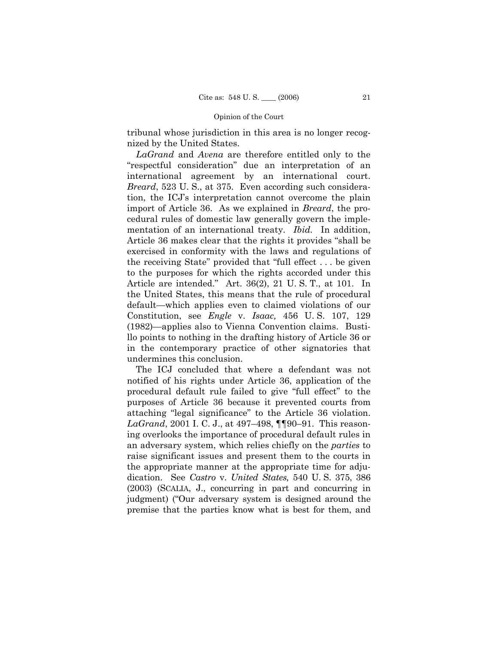tribunal whose jurisdiction in this area is no longer recognized by the United States.

*LaGrand* and *Avena* are therefore entitled only to the ìrespectful considerationî due an interpretation of an international agreement by an international court. *Breard*, 523 U. S., at 375. Even according such consideration, the ICJís interpretation cannot overcome the plain import of Article 36. As we explained in *Breard*, the procedural rules of domestic law generally govern the implementation of an international treaty. *Ibid.* In addition, Article 36 makes clear that the rights it provides "shall be exercised in conformity with the laws and regulations of the receiving State" provided that "full effect  $\dots$  be given to the purposes for which the rights accorded under this Article are intended.î Art. 36(2), 21 U. S. T., at 101. In the United States, this means that the rule of procedural default—which applies even to claimed violations of our Constitution, see *Engle* v. *Isaac,* 456 U. S. 107, 129  $(1982)$ —applies also to Vienna Convention claims. Bustillo points to nothing in the drafting history of Article 36 or in the contemporary practice of other signatories that undermines this conclusion.

 The ICJ concluded that where a defendant was not notified of his rights under Article 36, application of the procedural default rule failed to give "full effect" to the purposes of Article 36 because it prevented courts from attaching "legal significance" to the Article 36 violation. *LaGrand*, 2001 I. C. J., at 497–498,  $\P$  $[90-91$ . This reasoning overlooks the importance of procedural default rules in an adversary system, which relies chiefly on the *parties* to raise significant issues and present them to the courts in the appropriate manner at the appropriate time for adjudication. See *Castro* v. *United States,* 540 U. S. 375, 386 (2003) (SCALIA, J., concurring in part and concurring in judgment) ("Our adversary system is designed around the premise that the parties know what is best for them, and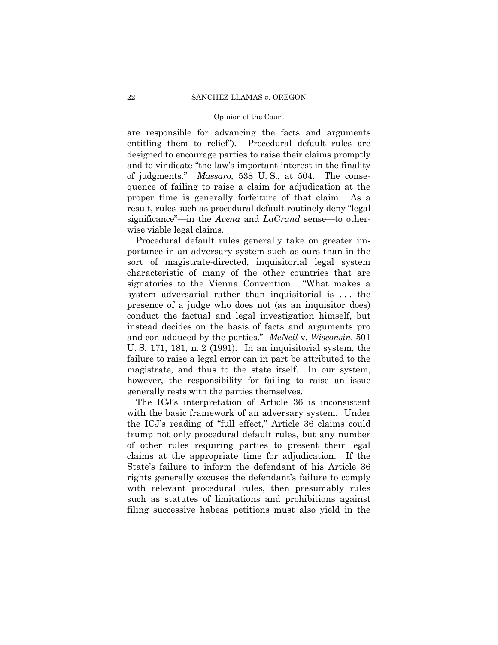are responsible for advancing the facts and arguments entitling them to relief"). Procedural default rules are designed to encourage parties to raise their claims promptly and to vindicate "the law's important interest in the finality of judgments.î *Massaro,* 538 U. S., at 504. The consequence of failing to raise a claim for adjudication at the proper time is generally forfeiture of that claim. As a result, rules such as procedural default routinely deny "legal" significance"-in the *Avena* and *LaGrand* sense-to otherwise viable legal claims.

 Procedural default rules generally take on greater importance in an adversary system such as ours than in the sort of magistrate-directed, inquisitorial legal system characteristic of many of the other countries that are signatories to the Vienna Convention. "What makes a system adversarial rather than inquisitorial is . . . the presence of a judge who does not (as an inquisitor does) conduct the factual and legal investigation himself, but instead decides on the basis of facts and arguments pro and con adduced by the parties.î *McNeil* v. *Wisconsin,* 501 U. S. 171, 181, n. 2 (1991). In an inquisitorial system, the failure to raise a legal error can in part be attributed to the magistrate, and thus to the state itself. In our system, however, the responsibility for failing to raise an issue generally rests with the parties themselves.

The ICJ's interpretation of Article 36 is inconsistent with the basic framework of an adversary system. Under the ICJ's reading of "full effect," Article 36 claims could trump not only procedural default rules, but any number of other rules requiring parties to present their legal claims at the appropriate time for adjudication. If the State's failure to inform the defendant of his Article 36 rights generally excuses the defendant's failure to comply with relevant procedural rules, then presumably rules such as statutes of limitations and prohibitions against filing successive habeas petitions must also yield in the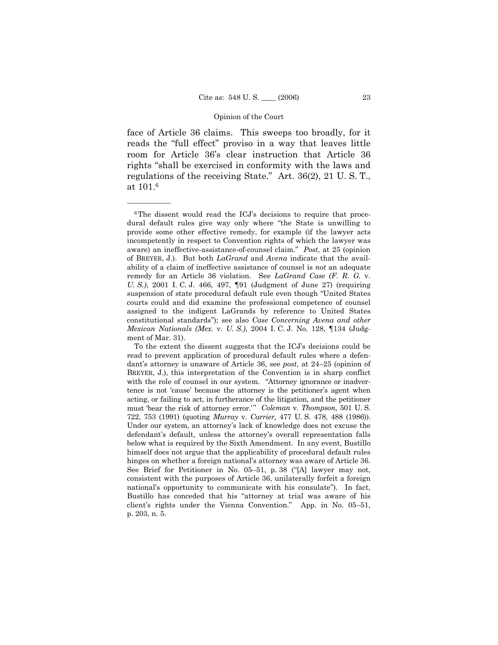face of Article 36 claims. This sweeps too broadly, for it reads the "full effect" proviso in a way that leaves little room for Article 36's clear instruction that Article 36 rights "shall be exercised in conformity with the laws and regulations of the receiving State." Art. 36(2), 21 U.S.T., at 101.6

<sup>&</sup>lt;sup>6</sup>The dissent would read the ICJ's decisions to require that procedural default rules give way only where "the State is unwilling to provide some other effective remedy, for example (if the lawyer acts incompetently in respect to Convention rights of which the lawyer was aware) an ineffective-assistance-of-counsel claim." Post, at 25 (opinion of BREYER, J.). But both *LaGrand* and *Avena* indicate that the availability of a claim of ineffective assistance of counsel is not an adequate remedy for an Article 36 violation. See LaGrand Case (F. R. G. v. U.S.), 2001 I.C.J. 466, 497, 191 (Judgment of June 27) (requiring suspension of state procedural default rule even though "United States" courts could and did examine the professional competence of counsel assigned to the indigent LaGrands by reference to United States constitutional standards"); see also Case Concerning Avena and other *Mexican Nationals (Mex. v. U.S.), 2004 I.C.J. No. 128, 134 (Judg*ment of Mar. 31).

To the extent the dissent suggests that the ICJ's decisions could be read to prevent application of procedural default rules where a defendant's attorney is unaware of Article 36, see post, at 24-25 (opinion of BREYER, J.), this interpretation of the Convention is in sharp conflict with the role of counsel in our system. "Attorney ignorance or inadvertence is not 'cause' because the attorney is the petitioner's agent when acting, or failing to act, in furtherance of the litigation, and the petitioner must bear the risk of attorney error." Coleman v. Thompson, 501 U.S. 722, 753 (1991) (quoting *Murray v. Carrier*, 477 U.S. 478, 488 (1986)). Under our system, an attorney's lack of knowledge does not excuse the defendant's default, unless the attorney's overall representation falls below what is required by the Sixth Amendment. In any event, Bustillo himself does not argue that the applicability of procedural default rules hinges on whether a foreign national's attorney was aware of Article 36. See Brief for Petitioner in No. 05-51, p. 38 ("[A] lawyer may not, consistent with the purposes of Article 36, unilaterally forfeit a foreign national's opportunity to communicate with his consulate"). In fact, Bustillo has conceded that his "attorney at trial was aware of his client's rights under the Vienna Convention." App. in No. 05–51, p. 203, n. 5.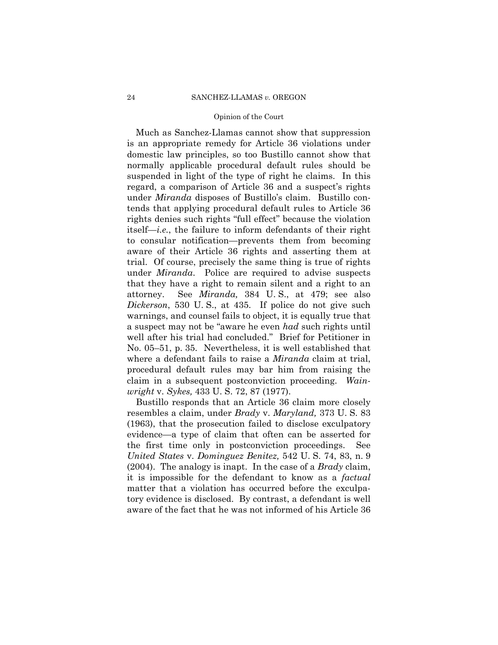Much as Sanchez-Llamas cannot show that suppression is an appropriate remedy for Article 36 violations under domestic law principles, so too Bustillo cannot show that normally applicable procedural default rules should be suspended in light of the type of right he claims. In this regard, a comparison of Article 36 and a suspect's rights under *Miranda* disposes of Bustillo's claim. Bustillo contends that applying procedural default rules to Article 36 rights denies such rights "full effect" because the violation itself—*i.e.*, the failure to inform defendants of their right to consular notification—prevents them from becoming aware of their Article 36 rights and asserting them at trial. Of course, precisely the same thing is true of rights under *Miranda*. Police are required to advise suspects that they have a right to remain silent and a right to an attorney. See *Miranda,* 384 U. S., at 479; see also *Dickerson*, 530 U. S., at 435. If police do not give such warnings, and counsel fails to object, it is equally true that a suspect may not be "aware he even *had* such rights until well after his trial had concluded." Brief for Petitioner in No.  $05-51$ , p. 35. Nevertheless, it is well established that where a defendant fails to raise a *Miranda* claim at trial, procedural default rules may bar him from raising the claim in a subsequent postconviction proceeding. *Wainwright* v. *Sykes,* 433 U. S. 72, 87 (1977).

 Bustillo responds that an Article 36 claim more closely resembles a claim, under *Brady* v. *Maryland,* 373 U. S. 83 (1963), that the prosecution failed to disclose exculpatory evidence—a type of claim that often can be asserted for the first time only in postconviction proceedings. See *United States* v. *Dominguez Benitez,* 542 U. S. 74, 83, n. 9 (2004). The analogy is inapt. In the case of a *Brady* claim, it is impossible for the defendant to know as a *factual* matter that a violation has occurred before the exculpatory evidence is disclosed. By contrast, a defendant is well aware of the fact that he was not informed of his Article 36